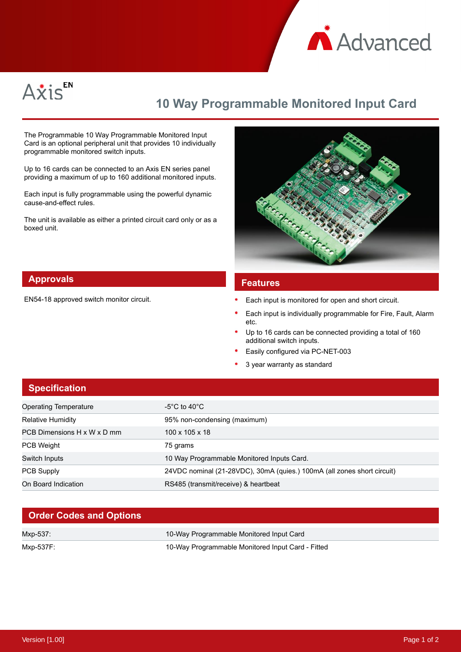



# **10 Way Programmable Monitored Input Card**

The Programmable 10 Way Programmable Monitored Input Card is an optional peripheral unit that provides 10 individually programmable monitored switch inputs.

Up to 16 cards can be connected to an Axis EN series panel providing a maximum of up to 160 additional monitored inputs.

Each input is fully programmable using the powerful dynamic cause-and-effect rules.

The unit is available as either a printed circuit card only or as a boxed unit.



### **Approvals**

EN54-18 approved switch monitor circuit.

#### **Features**

- Each input is monitored for open and short circuit.
- Each input is individually programmable for Fire, Fault, Alarm etc.
- Up to 16 cards can be connected providing a total of 160 additional switch inputs.
- Easily configured via PC-NET-003
- 3 year warranty as standard

## **Specification** Operating Temperature  $-5^{\circ}$ C to 40°C Relative Humidity 95% non-condensing (maximum) PCB Dimensions H x W x D mm 100 x 105 x 18 PCB Weight 75 grams Switch Inputs **10 Way Programmable Monitored Inputs Card.** PCB Supply 24VDC nominal (21-28VDC), 30mA (quies.) 100mA (all zones short circuit) On Board Indication **RS485** (transmit/receive) & heartbeat

### **Order Codes and Options**

| Mxp-537:  | 10-Way Programmable Monitored Input Card          |
|-----------|---------------------------------------------------|
| Mxp-537F: | 10-Way Programmable Monitored Input Card - Fitted |